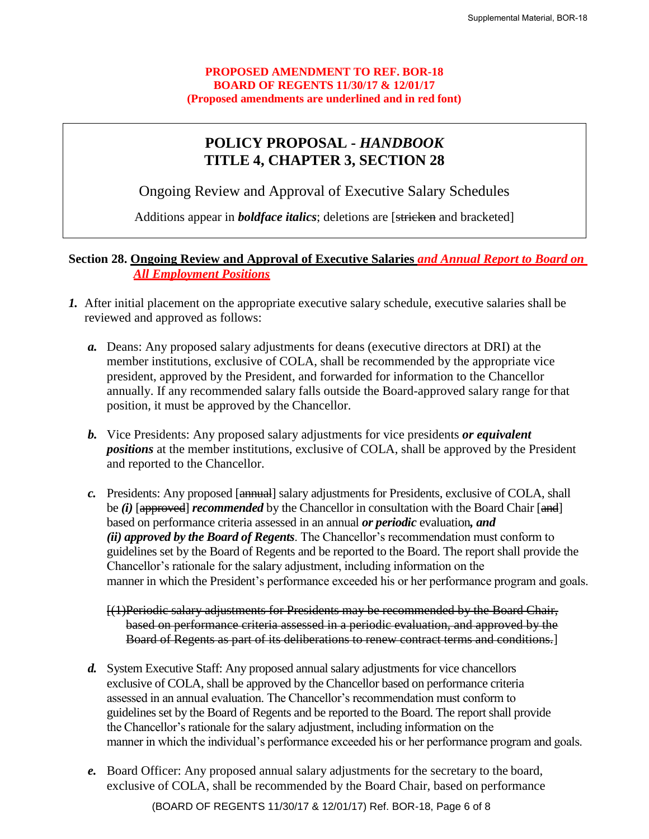## **PROPOSED AMENDMENT TO REF. BOR-18 BOARD OF REGENTS 11/30/17 & 12/01/17 (Proposed amendments are underlined and in red font)**

## **POLICY PROPOSAL -** *HANDBOOK* **TITLE 4, CHAPTER 3, SECTION 28**

Ongoing Review and Approval of Executive Salary Schedules

Additions appear in *boldface italics*; deletions are [stricken and bracketed]

## **Section 28. Ongoing Review and Approval of Executive Salaries** *and Annual Report to Board on All Employment Positions*

- *1.* After initial placement on the appropriate executive salary schedule, executive salaries shall be reviewed and approved as follows:
	- *a.* Deans: Any proposed salary adjustments for deans (executive directors at DRI) at the member institutions, exclusive of COLA, shall be recommended by the appropriate vice president, approved by the President, and forwarded for information to the Chancellor annually. If any recommended salary falls outside the Board-approved salary range for that position, it must be approved by the Chancellor.
	- *b.* Vice Presidents: Any proposed salary adjustments for vice presidents *or equivalent positions* at the member institutions, exclusive of COLA, shall be approved by the President and reported to the Chancellor.
	- *c.* Presidents: Any proposed [annual] salary adjustments for Presidents, exclusive of COLA, shall be *(i)* [approved] *recommended* by the Chancellor in consultation with the Board Chair [and] based on performance criteria assessed in an annual *or periodic* evaluation*, and (ii) approved by the Board of Regents*. The Chancellor's recommendation must conform to guidelines set by the Board of Regents and be reported to the Board. The report shall provide the Chancellor's rationale for the salary adjustment, including information on the manner in which the President's performance exceeded his or her performance program and goals.

[(1)Periodic salary adjustments for Presidents may be recommended by the Board Chair, based on performance criteria assessed in a periodic evaluation, and approved by the Board of Regents as part of its deliberations to renew contract terms and conditions.]

- *d.* System Executive Staff: Any proposed annual salary adjustments for vice chancellors exclusive of COLA, shall be approved by the Chancellor based on performance criteria assessed in an annual evaluation. The Chancellor's recommendation must conform to guidelines set by the Board of Regents and be reported to the Board. The report shall provide the Chancellor's rationale for the salary adjustment, including information on the manner in which the individual's performance exceeded his or her performance program and goals.
- *e.* Board Officer: Any proposed annual salary adjustments for the secretary to the board, exclusive of COLA, shall be recommended by the Board Chair, based on performance

(BOARD OF REGENTS 11/30/17 & 12/01/17) Ref. BOR-18, Page 6 of 8